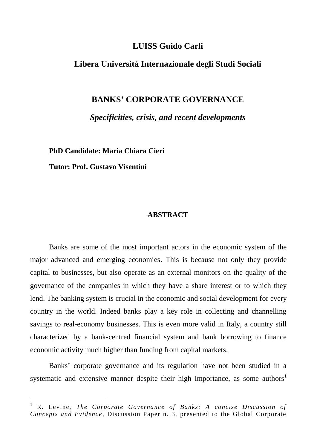## **LUISS Guido Carli**

## **Libera Università Internazionale degli Studi Sociali**

## **BANKS' CORPORATE GOVERNANCE**

*Specificities, crisis, and recent developments*

**PhD Candidate: Maria Chiara Cieri**

**Tutor: Prof. Gustavo Visentini**

 $\overline{a}$ 

## **ABSTRACT**

Banks are some of the most important actors in the economic system of the major advanced and emerging economies. This is because not only they provide capital to businesses, but also operate as an external monitors on the quality of the governance of the companies in which they have a share interest or to which they lend. The banking system is crucial in the economic and social development for every country in the world. Indeed banks play a key role in collecting and channelling savings to real-economy businesses. This is even more valid in Italy, a country still characterized by a bank-centred financial system and bank borrowing to finance economic activity much higher than funding from capital markets.

Banks' corporate governance and its regulation have not been studied in a systematic and extensive manner despite their high importance, as some authors<sup>1</sup>

<sup>&</sup>lt;sup>1</sup> R. Levine, *The Corporate Governance of Banks: A concise Discussion of Concepts and Evidence*, Discussion Paper n. 3, presented to the Global Corporate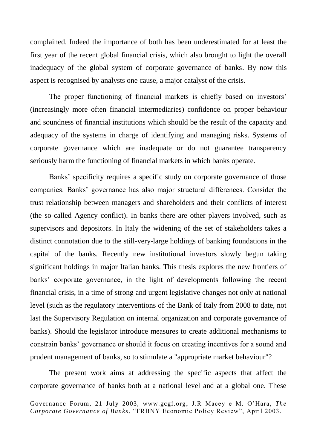complained. Indeed the importance of both has been underestimated for at least the first year of the recent global financial crisis, which also brought to light the overall inadequacy of the global system of corporate governance of banks. By now this aspect is recognised by analysts one cause, a major catalyst of the crisis.

The proper functioning of financial markets is chiefly based on investors' (increasingly more often financial intermediaries) confidence on proper behaviour and soundness of financial institutions which should be the result of the capacity and adequacy of the systems in charge of identifying and managing risks. Systems of corporate governance which are inadequate or do not guarantee transparency seriously harm the functioning of financial markets in which banks operate.

Banks' specificity requires a specific study on corporate governance of those companies. Banks' governance has also major structural differences. Consider the trust relationship between managers and shareholders and their conflicts of interest (the so-called Agency conflict). In banks there are other players involved, such as supervisors and depositors. In Italy the widening of the set of stakeholders takes a distinct connotation due to the still-very-large holdings of banking foundations in the capital of the banks. Recently new institutional investors slowly begun taking significant holdings in major Italian banks. This thesis explores the new frontiers of banks' corporate governance, in the light of developments following the recent financial crisis, in a time of strong and urgent legislative changes not only at national level (such as the regulatory interventions of the Bank of Italy from 2008 to date, not last the Supervisory Regulation on internal organization and corporate governance of banks). Should the legislator introduce measures to create additional mechanisms to constrain banks' governance or should it focus on creating incentives for a sound and prudent management of banks, so to stimulate a "appropriate market behaviour"?

The present work aims at addressing the specific aspects that affect the corporate governance of banks both at a national level and at a global one. These

 $\overline{a}$ 

Governance Forum, 21 July 2003, [www.gcgf.org;](http://www.gcgf.org/) J.R Macey e M. O'Hara, *The Corporate Governance of Banks*, "FRBNY Economic Policy Review", April 2003.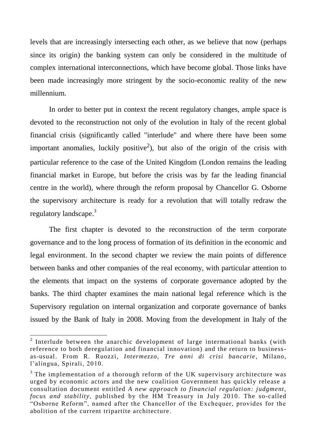levels that are increasingly intersecting each other, as we believe that now (perhaps since its origin) the banking system can only be considered in the multitude of complex international interconnections, which have become global. Those links have been made increasingly more stringent by the socio-economic reality of the new millennium.

In order to better put in context the recent regulatory changes, ample space is devoted to the reconstruction not only of the evolution in Italy of the recent global financial crisis (significantly called "interlude" and where there have been some important anomalies, luckily positive<sup>2</sup>), but also of the origin of the crisis with particular reference to the case of the United Kingdom (London remains the leading financial market in Europe, but before the crisis was by far the leading financial centre in the world), where through the reform proposal by Chancellor G. Osborne the supervisory architecture is ready for a revolution that will totally redraw the regulatory landscape.<sup>3</sup>

The first chapter is devoted to the reconstruction of the term corporate governance and to the long process of formation of its definition in the economic and legal environment. In the second chapter we review the main points of difference between banks and other companies of the real economy, with particular attention to the elements that impact on the systems of corporate governance adopted by the banks. The third chapter examines the main national legal reference which is the Supervisory regulation on internal organization and corporate governance of banks issued by the Bank of Italy in 2008. Moving from the development in Italy of the

<sup>&</sup>lt;sup>2</sup> Interlude between the anarchic development of large intermational banks (with reference to both deregulation and financial innovation) and the return to businessas-usual. From R. Ruozzi, *Intermezzo*, *Tre anni di crisi bancarie* , Milano, l'alingua, Spirali, 2010.

 $3$  The implementation of a thorough reform of the UK supervisory architecture was urged by economic actors and the new coalition Government has quickly release a consultation document entitled *A new approach to financial regulation: judgment, focus and stability*, published by the HM Treasury in July 2010. The so-called "Osborne Reform", named after the Chancellor of the Exchequer, provides for the abolition of the current tripartite architecture .